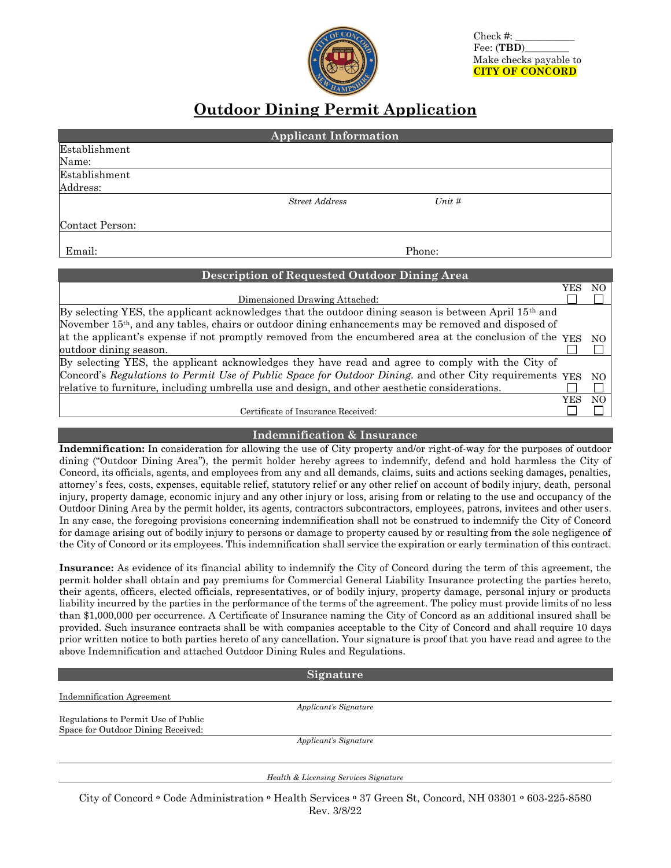Check #: Fee: (**TBD**)\_\_\_\_\_\_\_\_\_ Make checks payable to **CITY OF CONCORD**

## **Outdoor Dining Permit Application**

| <b>Applicant Information</b>                                                                          |                               |        |            |     |  |
|-------------------------------------------------------------------------------------------------------|-------------------------------|--------|------------|-----|--|
| Establishment                                                                                         |                               |        |            |     |  |
| Name:                                                                                                 |                               |        |            |     |  |
| Establishment                                                                                         |                               |        |            |     |  |
| Address:                                                                                              |                               |        |            |     |  |
|                                                                                                       | <b>Street Address</b>         | Unit # |            |     |  |
| Contact Person:                                                                                       |                               |        |            |     |  |
| Email:                                                                                                |                               | Phone: |            |     |  |
| <b>Description of Requested Outdoor Dining Area</b>                                                   |                               |        |            |     |  |
|                                                                                                       |                               |        | <b>YES</b> | NO. |  |
|                                                                                                       | Dimensioned Drawing Attached: |        |            |     |  |
| By selecting YES, the applicant acknowledges that the outdoor dining season is between April 15th and |                               |        |            |     |  |

| November 15 <sup>th</sup> , and any tables, chairs or outdoor dining enhancements may be removed and disposed of |      |     |
|------------------------------------------------------------------------------------------------------------------|------|-----|
| at the applicant's expense if not promptly removed from the encumbered area at the conclusion of the YES NO      |      |     |
| outdoor dining season.                                                                                           |      |     |
| By selecting YES, the applicant acknowledges they have read and agree to comply with the City of                 |      |     |
| Concord's Regulations to Permit Use of Public Space for Outdoor Dining, and other City requirements YES NO       |      |     |
| relative to furniture, including umbrella use and design, and other aesthetic considerations.                    |      |     |
|                                                                                                                  | YES. | NO. |
|                                                                                                                  |      |     |

Certificate of Insurance Received:

## **Indemnification & Insurance**

**Indemnification:** In consideration for allowing the use of City property and/or right-of-way for the purposes of outdoor dining ("Outdoor Dining Area"), the permit holder hereby agrees to indemnify, defend and hold harmless the City of Concord, its officials, agents, and employees from any and all demands, claims, suits and actions seeking damages, penalties, attorney's fees, costs, expenses, equitable relief, statutory relief or any other relief on account of bodily injury, death, personal injury, property damage, economic injury and any other injury or loss, arising from or relating to the use and occupancy of the Outdoor Dining Area by the permit holder, its agents, contractors subcontractors, employees, patrons, invitees and other users. In any case, the foregoing provisions concerning indemnification shall not be construed to indemnify the City of Concord for damage arising out of bodily injury to persons or damage to property caused by or resulting from the sole negligence of the City of Concord or its employees. This indemnification shall service the expiration or early termination of this contract.

**Insurance:** As evidence of its financial ability to indemnify the City of Concord during the term of this agreement, the permit holder shall obtain and pay premiums for Commercial General Liability Insurance protecting the parties hereto, their agents, officers, elected officials, representatives, or of bodily injury, property damage, personal injury or products liability incurred by the parties in the performance of the terms of the agreement. The policy must provide limits of no less than \$1,000,000 per occurrence. A Certificate of Insurance naming the City of Concord as an additional insured shall be provided. Such insurance contracts shall be with companies acceptable to the City of Concord and shall require 10 days prior written notice to both parties hereto of any cancellation. Your signature is proof that you have read and agree to the above Indemnification and attached Outdoor Dining Rules and Regulations.

|                                     | Signature                             |  |
|-------------------------------------|---------------------------------------|--|
| Indemnification Agreement           |                                       |  |
|                                     | Applicant's Signature                 |  |
| Regulations to Permit Use of Public |                                       |  |
| Space for Outdoor Dining Received:  |                                       |  |
|                                     | Applicant's Signature                 |  |
|                                     |                                       |  |
|                                     |                                       |  |
|                                     | Health & Licensing Services Signature |  |
|                                     |                                       |  |

City of Concord **<sup>o</sup>** Code Administration **<sup>o</sup>** Health Services **<sup>o</sup>** 37 Green St, Concord, NH 03301 **<sup>o</sup>** 603-225-8580 Rev. 3/8/22